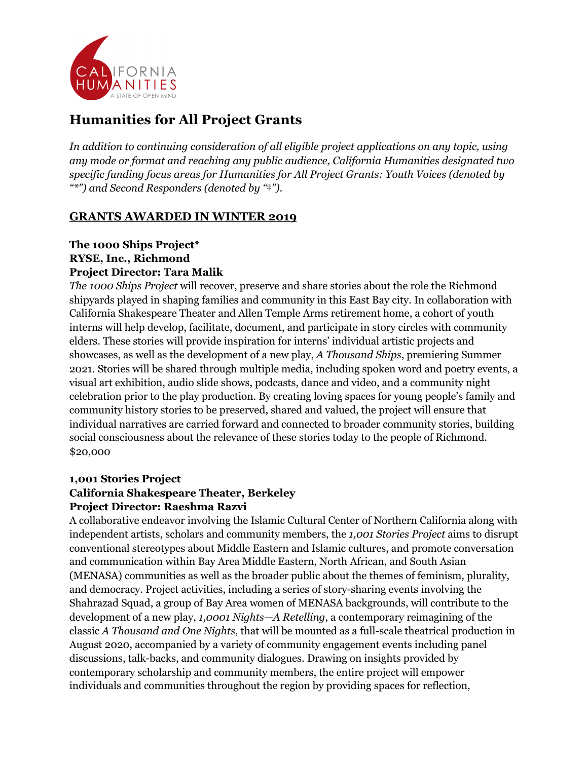

# **Humanities for All Project Grants**

*In addition to continuing consideration of all eligible project applications on any topic, using any mode or format and reaching any public audience, California Humanities designated two specific funding focus areas for Humanities for All Project Grants: Youth Voices (denoted by "\*") and Second Responders (denoted by "*‡*").*

# **GRANTS AWARDED IN WINTER 2019**

## **The 1000 Ships Project\* RYSE, Inc., Richmond Project Director: Tara Malik**

*The 1000 Ships Project* will recover, preserve and share stories about the role the Richmond shipyards played in shaping families and community in this East Bay city. In collaboration with California Shakespeare Theater and Allen Temple Arms retirement home, a cohort of youth interns will help develop, facilitate, document, and participate in story circles with community elders. These stories will provide inspiration for interns' individual artistic projects and showcases, as well as the development of a new play, *A Thousand Ships*, premiering Summer 2021. Stories will be shared through multiple media, including spoken word and poetry events, a visual art exhibition, audio slide shows, podcasts, dance and video, and a community night celebration prior to the play production. By creating loving spaces for young people's family and community history stories to be preserved, shared and valued, the project will ensure that individual narratives are carried forward and connected to broader community stories, building social consciousness about the relevance of these stories today to the people of Richmond. \$20,000

## **1,001 Stories Project**

## **California Shakespeare Theater, Berkeley Project Director: Raeshma Razvi**

A collaborative endeavor involving the Islamic Cultural Center of Northern California along with independent artists, scholars and community members, the *1,001 Stories Project* aims to disrupt conventional stereotypes about Middle Eastern and Islamic cultures, and promote conversation and communication within Bay Area Middle Eastern, North African, and South Asian (MENASA) communities as well as the broader public about the themes of feminism, plurality, and democracy. Project activities, including a series of story-sharing events involving the Shahrazad Squad, a group of Bay Area women of MENASA backgrounds, will contribute to the development of a new play, *1,0001 Nights—A Retelling*, a contemporary reimagining of the classic *A Thousand and One Nights*, that will be mounted as a full-scale theatrical production in August 2020, accompanied by a variety of community engagement events including panel discussions, talk-backs, and community dialogues. Drawing on insights provided by contemporary scholarship and community members, the entire project will empower individuals and communities throughout the region by providing spaces for reflection,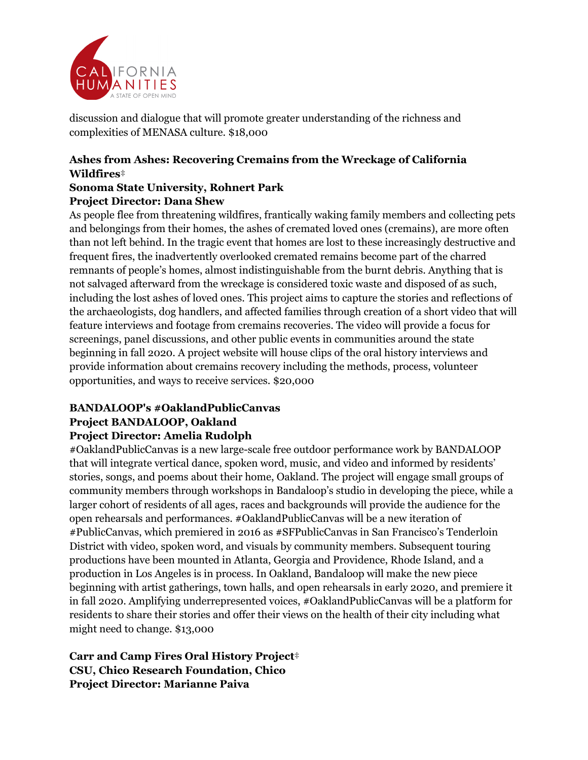

discussion and dialogue that will promote greater understanding of the richness and complexities of MENASA culture. \$18,000

# **Ashes from Ashes: Recovering Cremains from the Wreckage of California Wildfires**‡

## **Sonoma State University, Rohnert Park Project Director: Dana Shew**

As people flee from threatening wildfires, frantically waking family members and collecting pets and belongings from their homes, the ashes of cremated loved ones (cremains), are more often than not left behind. In the tragic event that homes are lost to these increasingly destructive and frequent fires, the inadvertently overlooked cremated remains become part of the charred remnants of people's homes, almost indistinguishable from the burnt debris. Anything that is not salvaged afterward from the wreckage is considered toxic waste and disposed of as such, including the lost ashes of loved ones. This project aims to capture the stories and reflections of the archaeologists, dog handlers, and affected families through creation of a short video that will feature interviews and footage from cremains recoveries. The video will provide a focus for screenings, panel discussions, and other public events in communities around the state beginning in fall 2020. A project website will house clips of the oral history interviews and provide information about cremains recovery including the methods, process, volunteer opportunities, and ways to receive services. \$20,000

# **BANDALOOP's #OaklandPublicCanvas Project BANDALOOP, Oakland**

## **Project Director: Amelia Rudolph**

#OaklandPublicCanvas is a new large-scale free outdoor performance work by BANDALOOP that will integrate vertical dance, spoken word, music, and video and informed by residents' stories, songs, and poems about their home, Oakland. The project will engage small groups of community members through workshops in Bandaloop's studio in developing the piece, while a larger cohort of residents of all ages, races and backgrounds will provide the audience for the open rehearsals and performances. #OaklandPublicCanvas will be a new iteration of #PublicCanvas, which premiered in 2016 as #SFPublicCanvas in San Francisco's Tenderloin District with video, spoken word, and visuals by community members. Subsequent touring productions have been mounted in Atlanta, Georgia and Providence, Rhode Island, and a production in Los Angeles is in process. In Oakland, Bandaloop will make the new piece beginning with artist gatherings, town halls, and open rehearsals in early 2020, and premiere it in fall 2020. Amplifying underrepresented voices, #OaklandPublicCanvas will be a platform for residents to share their stories and offer their views on the health of their city including what might need to change. \$13,000

# **Carr and Camp Fires Oral History Project**‡ **CSU, Chico Research Foundation, Chico Project Director: Marianne Paiva**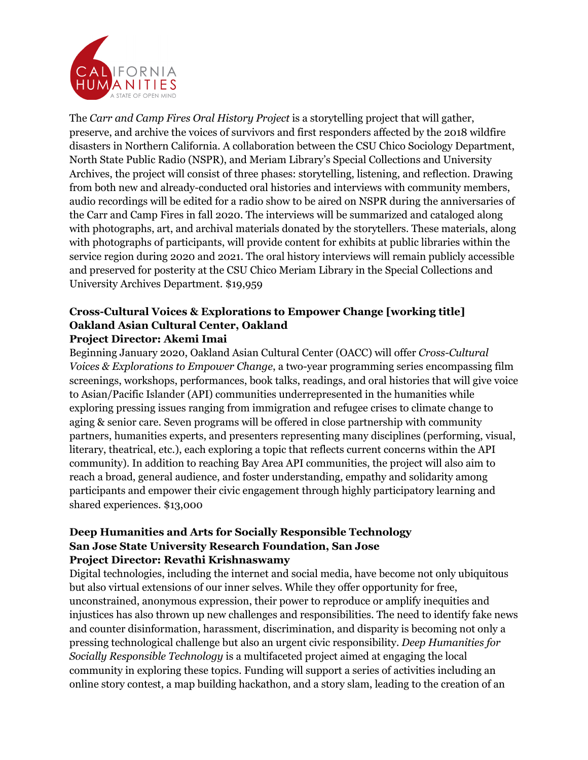

The *Carr and Camp Fires Oral History Project* is a storytelling project that will gather, preserve, and archive the voices of survivors and first responders affected by the 2018 wildfire disasters in Northern California. A collaboration between the CSU Chico Sociology Department, North State Public Radio (NSPR), and Meriam Library's Special Collections and University Archives, the project will consist of three phases: storytelling, listening, and reflection. Drawing from both new and already-conducted oral histories and interviews with community members, audio recordings will be edited for a radio show to be aired on NSPR during the anniversaries of the Carr and Camp Fires in fall 2020. The interviews will be summarized and cataloged along with photographs, art, and archival materials donated by the storytellers. These materials, along with photographs of participants, will provide content for exhibits at public libraries within the service region during 2020 and 2021. The oral history interviews will remain publicly accessible and preserved for posterity at the CSU Chico Meriam Library in the Special Collections and University Archives Department. \$19,959

#### **Cross-Cultural Voices & Explorations to Empower Change [working title] Oakland Asian Cultural Center, Oakland Project Director: Akemi Imai**

Beginning January 2020, Oakland Asian Cultural Center (OACC) will offer *Cross-Cultural Voices & Explorations to Empower Change*, a two-year programming series encompassing film screenings, workshops, performances, book talks, readings, and oral histories that will give voice to Asian/Pacific Islander (API) communities underrepresented in the humanities while exploring pressing issues ranging from immigration and refugee crises to climate change to aging & senior care. Seven programs will be offered in close partnership with community partners, humanities experts, and presenters representing many disciplines (performing, visual, literary, theatrical, etc.), each exploring a topic that reflects current concerns within the API community). In addition to reaching Bay Area API communities, the project will also aim to reach a broad, general audience, and foster understanding, empathy and solidarity among participants and empower their civic engagement through highly participatory learning and shared experiences. \$13,000

#### **Deep Humanities and Arts for Socially Responsible Technology San Jose State University Research Foundation, San Jose Project Director: Revathi Krishnaswamy**

Digital technologies, including the internet and social media, have become not only ubiquitous but also virtual extensions of our inner selves. While they offer opportunity for free, unconstrained, anonymous expression, their power to reproduce or amplify inequities and injustices has also thrown up new challenges and responsibilities. The need to identify fake news and counter disinformation, harassment, discrimination, and disparity is becoming not only a pressing technological challenge but also an urgent civic responsibility. *Deep Humanities for Socially Responsible Technology* is a multifaceted project aimed at engaging the local community in exploring these topics. Funding will support a series of activities including an online story contest, a map building hackathon, and a story slam, leading to the creation of an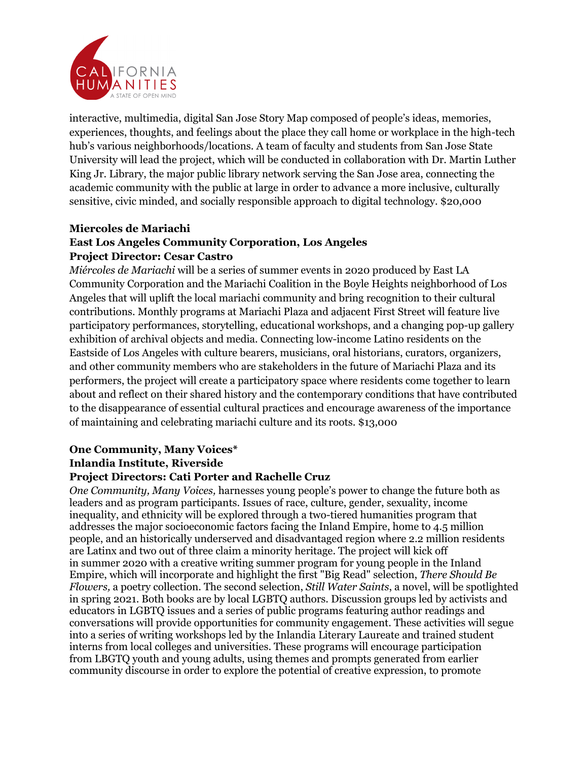

interactive, multimedia, digital San Jose Story Map composed of people's ideas, memories, experiences, thoughts, and feelings about the place they call home or workplace in the high-tech hub's various neighborhoods/locations. A team of faculty and students from San Jose State University will lead the project, which will be conducted in collaboration with Dr. Martin Luther King Jr. Library, the major public library network serving the San Jose area, connecting the academic community with the public at large in order to advance a more inclusive, culturally sensitive, civic minded, and socially responsible approach to digital technology. \$20,000

## **Miercoles de Mariachi East Los Angeles Community Corporation, Los Angeles Project Director: Cesar Castro**

*Miércoles de Mariachi* will be a series of summer events in 2020 produced by East LA Community Corporation and the Mariachi Coalition in the Boyle Heights neighborhood of Los Angeles that will uplift the local mariachi community and bring recognition to their cultural contributions. Monthly programs at Mariachi Plaza and adjacent First Street will feature live participatory performances, storytelling, educational workshops, and a changing pop-up gallery exhibition of archival objects and media. Connecting low-income Latino residents on the Eastside of Los Angeles with culture bearers, musicians, oral historians, curators, organizers, and other community members who are stakeholders in the future of Mariachi Plaza and its performers, the project will create a participatory space where residents come together to learn about and reflect on their shared history and the contemporary conditions that have contributed to the disappearance of essential cultural practices and encourage awareness of the importance of maintaining and celebrating mariachi culture and its roots. \$13,000

#### **One Community, Many Voices\* Inlandia Institute, Riverside Project Directors: Cati Porter and Rachelle Cruz**

*One Community, Many Voices,* harnesses young people's power to change the future both as leaders and as program participants. Issues of race, culture, gender, sexuality, income inequality, and ethnicity will be explored through a two-tiered humanities program that addresses the major socioeconomic factors facing the Inland Empire, home to 4.5 million people, and an historically underserved and disadvantaged region where 2.2 million residents are Latinx and two out of three claim a minority heritage. The project will kick off in summer 2020 with a creative writing summer program for young people in the Inland Empire, which will incorporate and highlight the first "Big Read" selection, *There Should Be Flowers,* a poetry collection. The second selection, *Still Water Saints*, a novel, will be spotlighted in spring 2021. Both books are by local LGBTQ authors. Discussion groups led by activists and educators in LGBTQ issues and a series of public programs featuring author readings and conversations will provide opportunities for community engagement. These activities will segue into a series of writing workshops led by the Inlandia Literary Laureate and trained student interns from local colleges and universities. These programs will encourage participation from LBGTQ youth and young adults, using themes and prompts generated from earlier community discourse in order to explore the potential of creative expression, to promote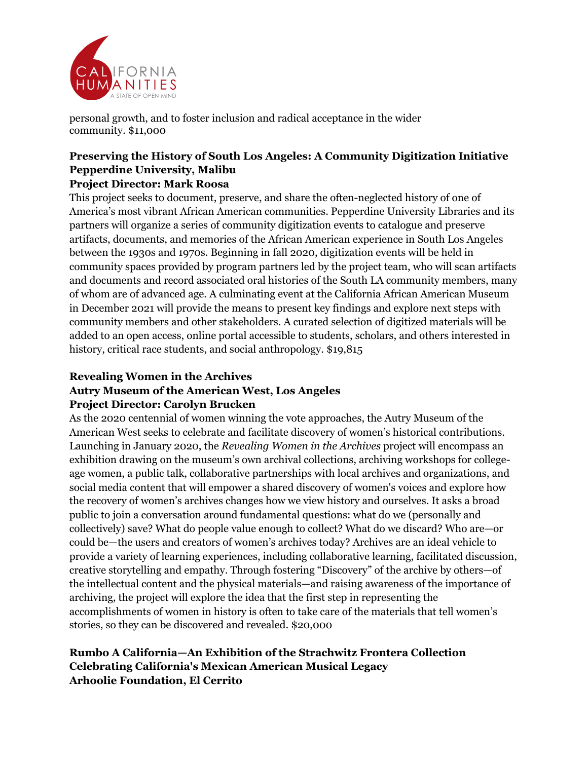

personal growth, and to foster inclusion and radical acceptance in the wider community. \$11,000

## **Preserving the History of South Los Angeles: A Community Digitization Initiative Pepperdine University, Malibu Project Director: Mark Roosa**

This project seeks to document, preserve, and share the often-neglected history of one of America's most vibrant African American communities. Pepperdine University Libraries and its partners will organize a series of community digitization events to catalogue and preserve artifacts, documents, and memories of the African American experience in South Los Angeles between the 1930s and 1970s. Beginning in fall 2020, digitization events will be held in community spaces provided by program partners led by the project team, who will scan artifacts and documents and record associated oral histories of the South LA community members, many of whom are of advanced age. A culminating event at the California African American Museum in December 2021 will provide the means to present key findings and explore next steps with community members and other stakeholders. A curated selection of digitized materials will be added to an open access, online portal accessible to students, scholars, and others interested in history, critical race students, and social anthropology. \$19,815

## **Revealing Women in the Archives Autry Museum of the American West, Los Angeles Project Director: Carolyn Brucken**

As the 2020 centennial of women winning the vote approaches, the Autry Museum of the American West seeks to celebrate and facilitate discovery of women's historical contributions. Launching in January 2020, the *Revealing Women in the Archives* project will encompass an exhibition drawing on the museum's own archival collections, archiving workshops for collegeage women, a public talk, collaborative partnerships with local archives and organizations, and social media content that will empower a shared discovery of women's voices and explore how the recovery of women's archives changes how we view history and ourselves. It asks a broad public to join a conversation around fundamental questions: what do we (personally and collectively) save? What do people value enough to collect? What do we discard? Who are—or could be—the users and creators of women's archives today? Archives are an ideal vehicle to provide a variety of learning experiences, including collaborative learning, facilitated discussion, creative storytelling and empathy. Through fostering "Discovery" of the archive by others—of the intellectual content and the physical materials—and raising awareness of the importance of archiving, the project will explore the idea that the first step in representing the accomplishments of women in history is often to take care of the materials that tell women's stories, so they can be discovered and revealed. \$20,000

# **Rumbo A California—An Exhibition of the Strachwitz Frontera Collection Celebrating California's Mexican American Musical Legacy Arhoolie Foundation, El Cerrito**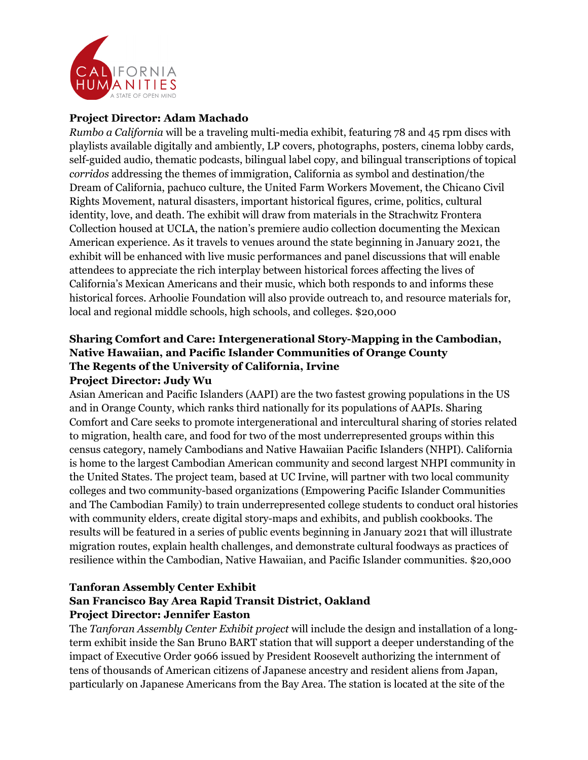

#### **Project Director: Adam Machado**

*Rumbo a California* will be a traveling multi-media exhibit, featuring 78 and 45 rpm discs with playlists available digitally and ambiently, LP covers, photographs, posters, cinema lobby cards, self-guided audio, thematic podcasts, bilingual label copy, and bilingual transcriptions of topical *corridos* addressing the themes of immigration, California as symbol and destination/the Dream of California, pachuco culture, the United Farm Workers Movement, the Chicano Civil Rights Movement, natural disasters, important historical figures, crime, politics, cultural identity, love, and death. The exhibit will draw from materials in the Strachwitz Frontera Collection housed at UCLA, the nation's premiere audio collection documenting the Mexican American experience. As it travels to venues around the state beginning in January 2021, the exhibit will be enhanced with live music performances and panel discussions that will enable attendees to appreciate the rich interplay between historical forces affecting the lives of California's Mexican Americans and their music, which both responds to and informs these historical forces. Arhoolie Foundation will also provide outreach to, and resource materials for, local and regional middle schools, high schools, and colleges. \$20,000

## **Sharing Comfort and Care: Intergenerational Story-Mapping in the Cambodian, Native Hawaiian, and Pacific Islander Communities of Orange County The Regents of the University of California, Irvine Project Director: Judy Wu**

Asian American and Pacific Islanders (AAPI) are the two fastest growing populations in the US and in Orange County, which ranks third nationally for its populations of AAPIs. Sharing Comfort and Care seeks to promote intergenerational and intercultural sharing of stories related to migration, health care, and food for two of the most underrepresented groups within this census category, namely Cambodians and Native Hawaiian Pacific Islanders (NHPI). California is home to the largest Cambodian American community and second largest NHPI community in the United States. The project team, based at UC Irvine, will partner with two local community colleges and two community-based organizations (Empowering Pacific Islander Communities and The Cambodian Family) to train underrepresented college students to conduct oral histories with community elders, create digital story-maps and exhibits, and publish cookbooks. The results will be featured in a series of public events beginning in January 2021 that will illustrate migration routes, explain health challenges, and demonstrate cultural foodways as practices of resilience within the Cambodian, Native Hawaiian, and Pacific Islander communities. \$20,000

#### **Tanforan Assembly Center Exhibit San Francisco Bay Area Rapid Transit District, Oakland Project Director: Jennifer Easton**

The *Tanforan Assembly Center Exhibit project* will include the design and installation of a longterm exhibit inside the San Bruno BART station that will support a deeper understanding of the impact of Executive Order 9066 issued by President Roosevelt authorizing the internment of tens of thousands of American citizens of Japanese ancestry and resident aliens from Japan, particularly on Japanese Americans from the Bay Area. The station is located at the site of the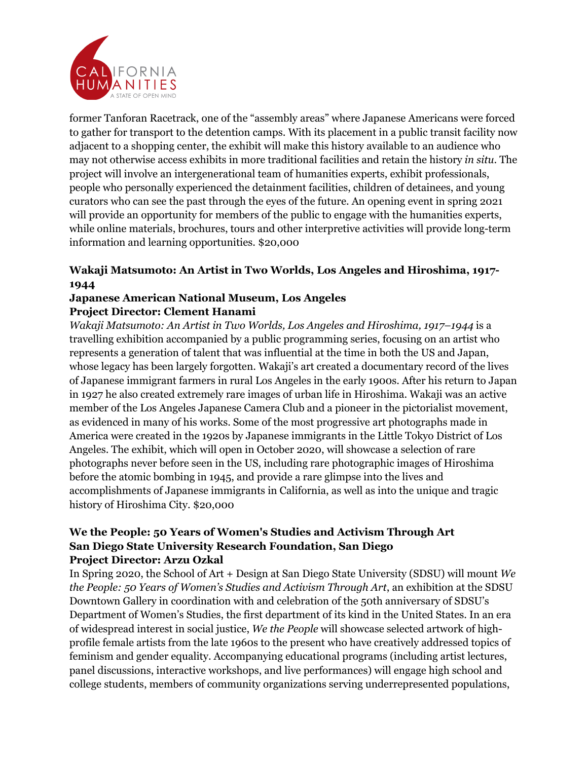

former Tanforan Racetrack, one of the "assembly areas" where Japanese Americans were forced to gather for transport to the detention camps. With its placement in a public transit facility now adjacent to a shopping center, the exhibit will make this history available to an audience who may not otherwise access exhibits in more traditional facilities and retain the history *in situ*. The project will involve an intergenerational team of humanities experts, exhibit professionals, people who personally experienced the detainment facilities, children of detainees, and young curators who can see the past through the eyes of the future. An opening event in spring 2021 will provide an opportunity for members of the public to engage with the humanities experts, while online materials, brochures, tours and other interpretive activities will provide long-term information and learning opportunities. \$20,000

# **Wakaji Matsumoto: An Artist in Two Worlds, Los Angeles and Hiroshima, 1917- 1944**

# **Japanese American National Museum, Los Angeles Project Director: Clement Hanami**

*Wakaji Matsumoto: An Artist in Two Worlds, Los Angeles and Hiroshima, 1917–1944* is a travelling exhibition accompanied by a public programming series, focusing on an artist who represents a generation of talent that was influential at the time in both the US and Japan, whose legacy has been largely forgotten. Wakaji's art created a documentary record of the lives of Japanese immigrant farmers in rural Los Angeles in the early 1900s. After his return to Japan in 1927 he also created extremely rare images of urban life in Hiroshima. Wakaji was an active member of the Los Angeles Japanese Camera Club and a pioneer in the pictorialist movement, as evidenced in many of his works. Some of the most progressive art photographs made in America were created in the 1920s by Japanese immigrants in the Little Tokyo District of Los Angeles. The exhibit, which will open in October 2020, will showcase a selection of rare photographs never before seen in the US, including rare photographic images of Hiroshima before the atomic bombing in 1945, and provide a rare glimpse into the lives and accomplishments of Japanese immigrants in California, as well as into the unique and tragic history of Hiroshima City. \$20,000

#### **We the People: 50 Years of Women's Studies and Activism Through Art San Diego State University Research Foundation, San Diego Project Director: Arzu Ozkal**

In Spring 2020, the School of Art + Design at San Diego State University (SDSU) will mount *We the People: 50 Years of Women's Studies and Activism Through Art*, an exhibition at the SDSU Downtown Gallery in coordination with and celebration of the 50th anniversary of SDSU's Department of Women's Studies, the first department of its kind in the United States. In an era of widespread interest in social justice, *We the People* will showcase selected artwork of highprofile female artists from the late 1960s to the present who have creatively addressed topics of feminism and gender equality. Accompanying educational programs (including artist lectures, panel discussions, interactive workshops, and live performances) will engage high school and college students, members of community organizations serving underrepresented populations,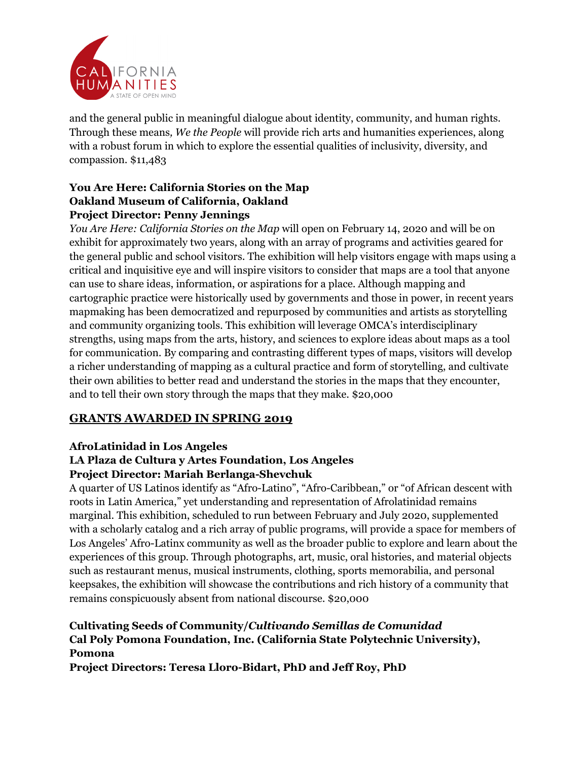

and the general public in meaningful dialogue about identity, community, and human rights. Through these means*, We the People* will provide rich arts and humanities experiences, along with a robust forum in which to explore the essential qualities of inclusivity, diversity, and compassion. \$11,483

## **You Are Here: California Stories on the Map Oakland Museum of California, Oakland Project Director: Penny Jennings**

*You Are Here: California Stories on the Map* will open on February 14, 2020 and will be on exhibit for approximately two years, along with an array of programs and activities geared for the general public and school visitors. The exhibition will help visitors engage with maps using a critical and inquisitive eye and will inspire visitors to consider that maps are a tool that anyone can use to share ideas, information, or aspirations for a place. Although mapping and cartographic practice were historically used by governments and those in power, in recent years mapmaking has been democratized and repurposed by communities and artists as storytelling and community organizing tools. This exhibition will leverage OMCA's interdisciplinary strengths, using maps from the arts, history, and sciences to explore ideas about maps as a tool for communication. By comparing and contrasting different types of maps, visitors will develop a richer understanding of mapping as a cultural practice and form of storytelling, and cultivate their own abilities to better read and understand the stories in the maps that they encounter, and to tell their own story through the maps that they make. \$20,000

# **GRANTS AWARDED IN SPRING 2019**

# **AfroLatinidad in Los Angeles**

# **LA Plaza de Cultura y Artes Foundation, Los Angeles Project Director: Mariah Berlanga-Shevchuk**

A quarter of US Latinos identify as "Afro-Latino", "Afro-Caribbean," or "of African descent with roots in Latin America," yet understanding and representation of Afrolatinidad remains marginal. This exhibition, scheduled to run between February and July 2020, supplemented with a scholarly catalog and a rich array of public programs, will provide a space for members of Los Angeles' Afro-Latinx community as well as the broader public to explore and learn about the experiences of this group. Through photographs, art, music, oral histories, and material objects such as restaurant menus, musical instruments, clothing, sports memorabilia, and personal keepsakes, the exhibition will showcase the contributions and rich history of a community that remains conspicuously absent from national discourse. \$20,000

# **Cultivating Seeds of Community/***Cultivando Semillas de Comunidad* **Cal Poly Pomona Foundation, Inc. (California State Polytechnic University), Pomona**

**Project Directors: Teresa Lloro-Bidart, PhD and Jeff Roy, PhD**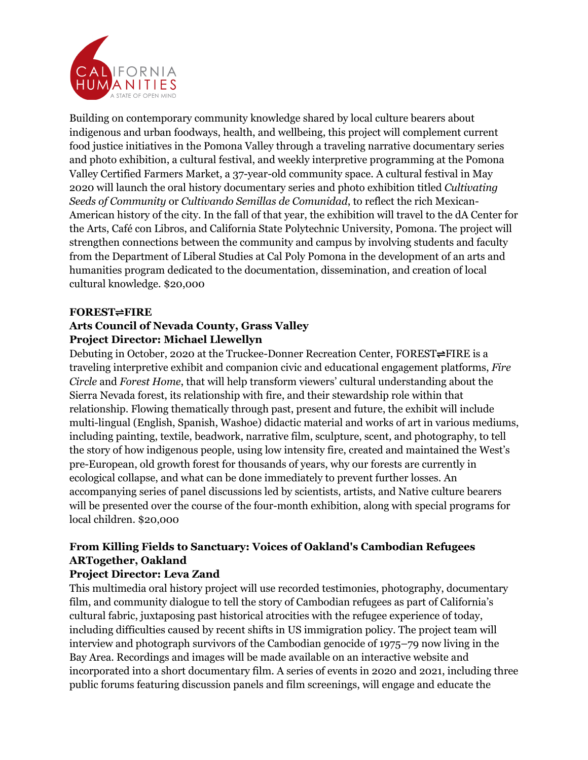

Building on contemporary community knowledge shared by local culture bearers about indigenous and urban foodways, health, and wellbeing, this project will complement current food justice initiatives in the Pomona Valley through a traveling narrative documentary series and photo exhibition, a cultural festival, and weekly interpretive programming at the Pomona Valley Certified Farmers Market, a 37-year-old community space. A cultural festival in May 2020 will launch the oral history documentary series and photo exhibition titled *Cultivating Seeds of Community* or *Cultivando Semillas de Comunidad*, to reflect the rich Mexican-American history of the city. In the fall of that year, the exhibition will travel to the dA Center for the Arts, Café con Libros, and California State Polytechnic University, Pomona. The project will strengthen connections between the community and campus by involving students and faculty from the Department of Liberal Studies at Cal Poly Pomona in the development of an arts and humanities program dedicated to the documentation, dissemination, and creation of local cultural knowledge. \$20,000

#### **FOREST**⇌**FIRE**

# **Arts Council of Nevada County, Grass Valley Project Director: Michael Llewellyn**

Debuting in October, 2020 at the Truckee-Donner Recreation Center, FOREST⇌FIRE is a traveling interpretive exhibit and companion civic and educational engagement platforms, *Fire Circle* and *Forest Home*, that will help transform viewers' cultural understanding about the Sierra Nevada forest, its relationship with fire, and their stewardship role within that relationship. Flowing thematically through past, present and future, the exhibit will include multi-lingual (English, Spanish, Washoe) didactic material and works of art in various mediums, including painting, textile, beadwork, narrative film, sculpture, scent, and photography, to tell the story of how indigenous people, using low intensity fire, created and maintained the West's pre-European, old growth forest for thousands of years, why our forests are currently in ecological collapse, and what can be done immediately to prevent further losses. An accompanying series of panel discussions led by scientists, artists, and Native culture bearers will be presented over the course of the four-month exhibition, along with special programs for local children. \$20,000

# **From Killing Fields to Sanctuary: Voices of Oakland's Cambodian Refugees ARTogether, Oakland**

## **Project Director: Leva Zand**

This multimedia oral history project will use recorded testimonies, photography, documentary film, and community dialogue to tell the story of Cambodian refugees as part of California's cultural fabric, juxtaposing past historical atrocities with the refugee experience of today, including difficulties caused by recent shifts in US immigration policy. The project team will interview and photograph survivors of the Cambodian genocide of 1975–79 now living in the Bay Area. Recordings and images will be made available on an interactive website and incorporated into a short documentary film. A series of events in 2020 and 2021, including three public forums featuring discussion panels and film screenings, will engage and educate the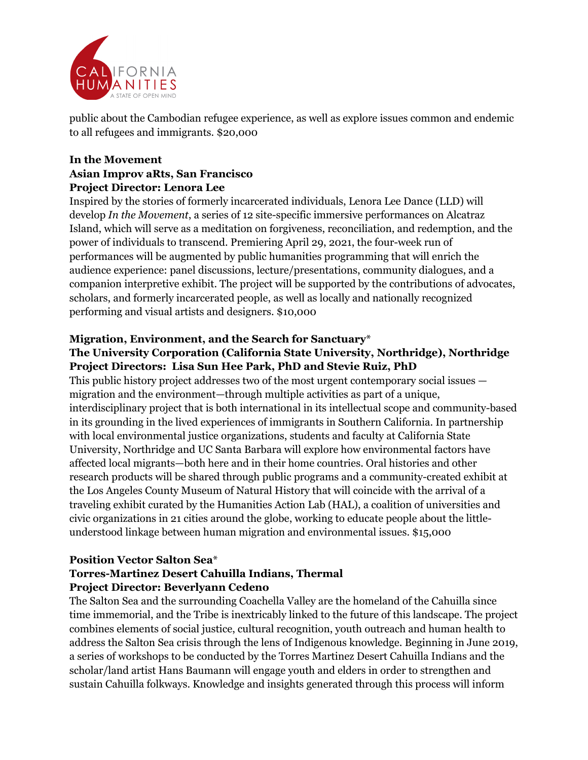

public about the Cambodian refugee experience, as well as explore issues common and endemic to all refugees and immigrants. \$20,000

# **In the Movement Asian Improv aRts, San Francisco Project Director: Lenora Lee**

Inspired by the stories of formerly incarcerated individuals, Lenora Lee Dance (LLD) will develop *In the Movement*, a series of 12 site-specific immersive performances on Alcatraz Island, which will serve as a meditation on forgiveness, reconciliation, and redemption, and the power of individuals to transcend. Premiering April 29, 2021, the four-week run of performances will be augmented by public humanities programming that will enrich the audience experience: panel discussions, lecture/presentations, community dialogues, and a companion interpretive exhibit. The project will be supported by the contributions of advocates, scholars, and formerly incarcerated people, as well as locally and nationally recognized performing and visual artists and designers. \$10,000

# **Migration, Environment, and the Search for Sanctuary**\*

## **The University Corporation (California State University, Northridge), Northridge Project Directors: Lisa Sun Hee Park, PhD and Stevie Ruiz, PhD**

This public history project addresses two of the most urgent contemporary social issues migration and the environment—through multiple activities as part of a unique, interdisciplinary project that is both international in its intellectual scope and community-based in its grounding in the lived experiences of immigrants in Southern California. In partnership with local environmental justice organizations, students and faculty at California State University, Northridge and UC Santa Barbara will explore how environmental factors have affected local migrants—both here and in their home countries. Oral histories and other research products will be shared through public programs and a community-created exhibit at the Los Angeles County Museum of Natural History that will coincide with the arrival of a traveling exhibit curated by the Humanities Action Lab (HAL), a coalition of universities and civic organizations in 21 cities around the globe, working to educate people about the littleunderstood linkage between human migration and environmental issues. \$15,000

# **Position Vector Salton Sea**\*

# **Torres-Martinez Desert Cahuilla Indians, Thermal Project Director: Beverlyann Cedeno**

The Salton Sea and the surrounding Coachella Valley are the homeland of the Cahuilla since time immemorial, and the Tribe is inextricably linked to the future of this landscape. The project combines elements of social justice, cultural recognition, youth outreach and human health to address the Salton Sea crisis through the lens of Indigenous knowledge. Beginning in June 2019, a series of workshops to be conducted by the Torres Martinez Desert Cahuilla Indians and the scholar/land artist Hans Baumann will engage youth and elders in order to strengthen and sustain Cahuilla folkways. Knowledge and insights generated through this process will inform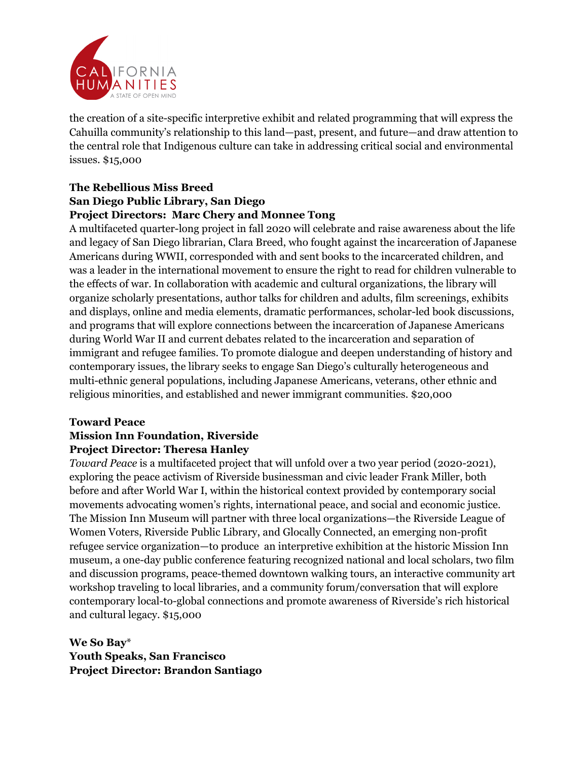

the creation of a site-specific interpretive exhibit and related programming that will express the Cahuilla community's relationship to this land—past, present, and future—and draw attention to the central role that Indigenous culture can take in addressing critical social and environmental issues. \$15,000

#### **The Rebellious Miss Breed San Diego Public Library, San Diego Project Directors: Marc Chery and Monnee Tong**

A multifaceted quarter-long project in fall 2020 will celebrate and raise awareness about the life and legacy of San Diego librarian, Clara Breed, who fought against the incarceration of Japanese Americans during WWII, corresponded with and sent books to the incarcerated children, and was a leader in the international movement to ensure the right to read for children vulnerable to the effects of war. In collaboration with academic and cultural organizations, the library will organize scholarly presentations, author talks for children and adults, film screenings, exhibits and displays, online and media elements, dramatic performances, scholar-led book discussions, and programs that will explore connections between the incarceration of Japanese Americans during World War II and current debates related to the incarceration and separation of immigrant and refugee families. To promote dialogue and deepen understanding of history and contemporary issues, the library seeks to engage San Diego's culturally heterogeneous and multi-ethnic general populations, including Japanese Americans, veterans, other ethnic and religious minorities, and established and newer immigrant communities. \$20,000

## **Toward Peace**

# **Mission Inn Foundation, Riverside Project Director: Theresa Hanley**

*Toward Peace* is a multifaceted project that will unfold over a two year period (2020-2021), exploring the peace activism of Riverside businessman and civic leader Frank Miller, both before and after World War I, within the historical context provided by contemporary social movements advocating women's rights, international peace, and social and economic justice. The Mission Inn Museum will partner with three local organizations—the Riverside League of Women Voters, Riverside Public Library, and Glocally Connected, an emerging non-profit refugee service organization—to produce an interpretive exhibition at the historic Mission Inn museum, a one-day public conference featuring recognized national and local scholars, two film and discussion programs, peace-themed downtown walking tours, an interactive community art workshop traveling to local libraries, and a community forum/conversation that will explore contemporary local-to-global connections and promote awareness of Riverside's rich historical and cultural legacy. \$15,000

**We So Bay**\* **Youth Speaks, San Francisco Project Director: Brandon Santiago**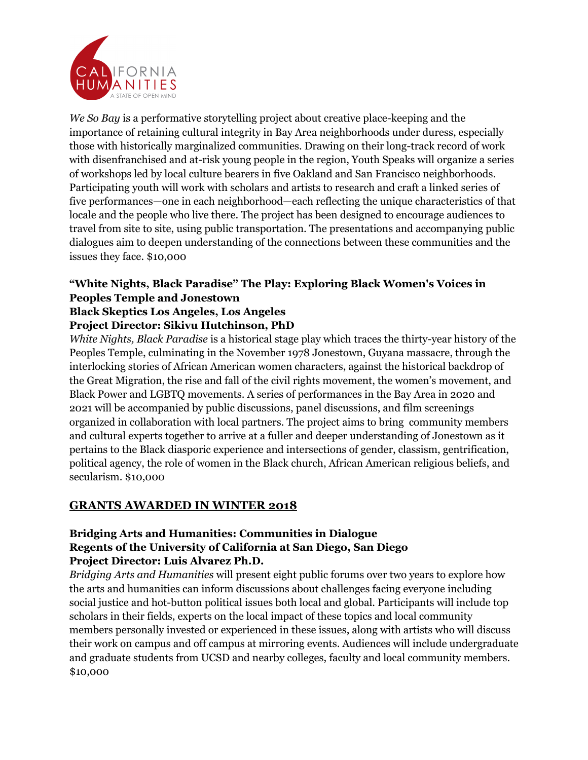

*We So Bay* is a performative storytelling project about creative place-keeping and the importance of retaining cultural integrity in Bay Area neighborhoods under duress, especially those with historically marginalized communities. Drawing on their long-track record of work with disenfranchised and at-risk young people in the region, Youth Speaks will organize a series of workshops led by local culture bearers in five Oakland and San Francisco neighborhoods. Participating youth will work with scholars and artists to research and craft a linked series of five performances—one in each neighborhood—each reflecting the unique characteristics of that locale and the people who live there. The project has been designed to encourage audiences to travel from site to site, using public transportation. The presentations and accompanying public dialogues aim to deepen understanding of the connections between these communities and the issues they face. \$10,000

# **"White Nights, Black Paradise" The Play: Exploring Black Women's Voices in Peoples Temple and Jonestown Black Skeptics Los Angeles, Los Angeles**

# **Project Director: Sikivu Hutchinson, PhD**

*White Nights, Black Paradise* is a historical stage play which traces the thirty-year history of the Peoples Temple, culminating in the November 1978 Jonestown, Guyana massacre, through the interlocking stories of African American women characters, against the historical backdrop of the Great Migration, the rise and fall of the civil rights movement, the women's movement, and Black Power and LGBTQ movements. A series of performances in the Bay Area in 2020 and 2021 will be accompanied by public discussions, panel discussions, and film screenings organized in collaboration with local partners. The project aims to bring community members and cultural experts together to arrive at a fuller and deeper understanding of Jonestown as it pertains to the Black diasporic experience and intersections of gender, classism, gentrification, political agency, the role of women in the Black church, African American religious beliefs, and secularism. \$10,000

# **GRANTS AWARDED IN WINTER 2018**

#### **Bridging Arts and Humanities: Communities in Dialogue Regents of the University of California at San Diego, San Diego Project Director: Luis Alvarez Ph.D.**

*Bridging Arts and Humanities* will present eight public forums over two years to explore how the arts and humanities can inform discussions about challenges facing everyone including social justice and hot-button political issues both local and global. Participants will include top scholars in their fields, experts on the local impact of these topics and local community members personally invested or experienced in these issues, along with artists who will discuss their work on campus and off campus at mirroring events. Audiences will include undergraduate and graduate students from UCSD and nearby colleges, faculty and local community members. \$10,000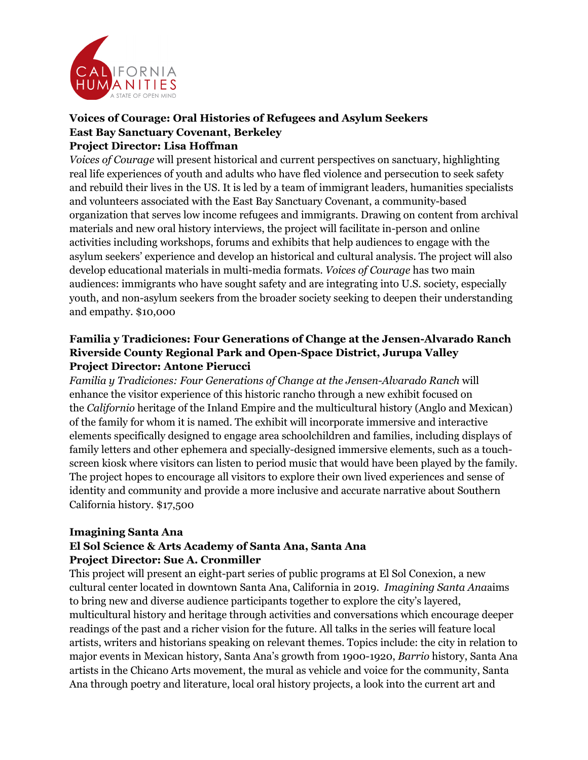

#### **Voices of Courage: Oral Histories of Refugees and Asylum Seekers East Bay Sanctuary Covenant, Berkeley Project Director: Lisa Hoffman**

*Voices of Courage* will present historical and current perspectives on sanctuary, highlighting real life experiences of youth and adults who have fled violence and persecution to seek safety and rebuild their lives in the US. It is led by a team of immigrant leaders, humanities specialists and volunteers associated with the East Bay Sanctuary Covenant, a community-based organization that serves low income refugees and immigrants. Drawing on content from archival materials and new oral history interviews, the project will facilitate in-person and online activities including workshops, forums and exhibits that help audiences to engage with the asylum seekers' experience and develop an historical and cultural analysis. The project will also develop educational materials in multi-media formats. *Voices of Courage* has two main audiences: immigrants who have sought safety and are integrating into U.S. society, especially youth, and non-asylum seekers from the broader society seeking to deepen their understanding and empathy. \$10,000

## **Familia y Tradiciones: Four Generations of Change at the Jensen-Alvarado Ranch Riverside County Regional Park and Open-Space District, Jurupa Valley Project Director: Antone Pierucci**

*Familia y Tradiciones: Four Generations of Change at the Jensen-Alvarado Ranch* will enhance the visitor experience of this historic rancho through a new exhibit focused on the *Californio* heritage of the Inland Empire and the multicultural history (Anglo and Mexican) of the family for whom it is named. The exhibit will incorporate immersive and interactive elements specifically designed to engage area schoolchildren and families, including displays of family letters and other ephemera and specially-designed immersive elements, such as a touchscreen kiosk where visitors can listen to period music that would have been played by the family. The project hopes to encourage all visitors to explore their own lived experiences and sense of identity and community and provide a more inclusive and accurate narrative about Southern California history. \$17,500

#### **Imagining Santa Ana**

## **El Sol Science & Arts Academy of Santa Ana, Santa Ana Project Director: Sue A. Cronmiller**

This project will present an eight-part series of public programs at El Sol Conexion, a new cultural center located in downtown Santa Ana, California in 2019. *Imagining Santa Ana*aims to bring new and diverse audience participants together to explore the city's layered, multicultural history and heritage through activities and conversations which encourage deeper readings of the past and a richer vision for the future. All talks in the series will feature local artists, writers and historians speaking on relevant themes. Topics include: the city in relation to major events in Mexican history, Santa Ana's growth from 1900-1920, *Barrio* history, Santa Ana artists in the Chicano Arts movement, the mural as vehicle and voice for the community, Santa Ana through poetry and literature, local oral history projects, a look into the current art and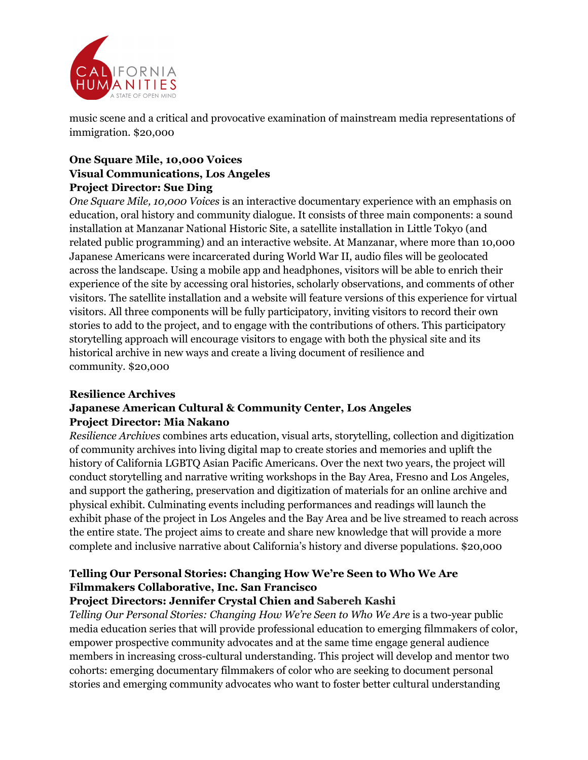

music scene and a critical and provocative examination of mainstream media representations of immigration. \$20,000

## **One Square Mile, 10,000 Voices Visual Communications, Los Angeles Project Director: Sue Ding**

*One Square Mile, 10,000 Voices* is an interactive documentary experience with an emphasis on education, oral history and community dialogue. It consists of three main components: a sound installation at Manzanar National Historic Site, a satellite installation in Little Tokyo (and related public programming) and an interactive website. At Manzanar, where more than 10,000 Japanese Americans were incarcerated during World War II, audio files will be geolocated across the landscape. Using a mobile app and headphones, visitors will be able to enrich their experience of the site by accessing oral histories, scholarly observations, and comments of other visitors. The satellite installation and a website will feature versions of this experience for virtual visitors. All three components will be fully participatory, inviting visitors to record their own stories to add to the project, and to engage with the contributions of others. This participatory storytelling approach will encourage visitors to engage with both the physical site and its historical archive in new ways and create a living document of resilience and community. \$20,000

## **Resilience Archives Japanese American Cultural & Community Center, Los Angeles Project Director: Mia Nakano**

*Resilience Archives* combines arts education, visual arts, storytelling, collection and digitization of community archives into living digital map to create stories and memories and uplift the history of California LGBTQ Asian Pacific Americans. Over the next two years, the project will conduct storytelling and narrative writing workshops in the Bay Area, Fresno and Los Angeles, and support the gathering, preservation and digitization of materials for an online archive and physical exhibit. Culminating events including performances and readings will launch the exhibit phase of the project in Los Angeles and the Bay Area and be live streamed to reach across the entire state. The project aims to create and share new knowledge that will provide a more complete and inclusive narrative about California's history and diverse populations. \$20,000

# **Telling Our Personal Stories: Changing How We're Seen to Who We Are Filmmakers Collaborative, Inc. San Francisco**

# **Project Directors: Jennifer Crystal Chien and Sabereh Kashi**

*Telling Our Personal Stories: Changing How We're Seen to Who We Are* is a two-year public media education series that will provide professional education to emerging filmmakers of color, empower prospective community advocates and at the same time engage general audience members in increasing cross-cultural understanding. This project will develop and mentor two cohorts: emerging documentary filmmakers of color who are seeking to document personal stories and emerging community advocates who want to foster better cultural understanding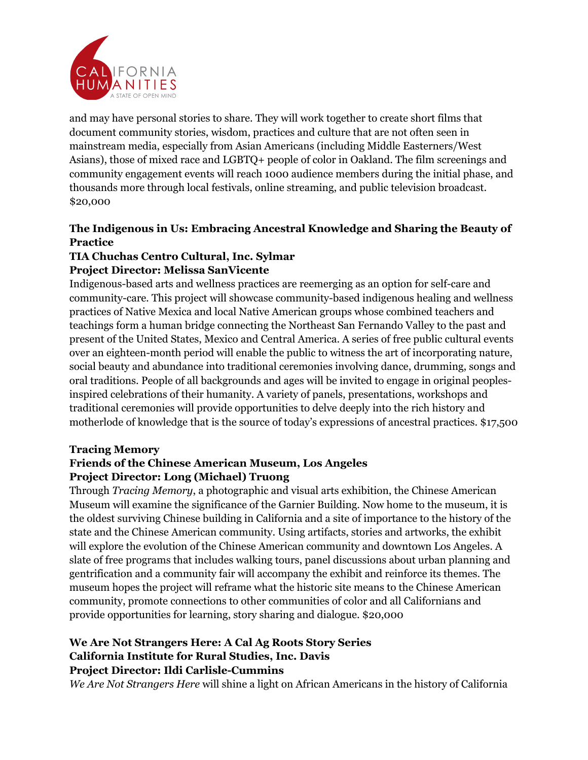

and may have personal stories to share. They will work together to create short films that document community stories, wisdom, practices and culture that are not often seen in mainstream media, especially from Asian Americans (including Middle Easterners/West Asians), those of mixed race and LGBTQ+ people of color in Oakland. The film screenings and community engagement events will reach 1000 audience members during the initial phase, and thousands more through local festivals, online streaming, and public television broadcast. \$20,000

# **The Indigenous in Us: Embracing Ancestral Knowledge and Sharing the Beauty of Practice**

#### **TIA Chuchas Centro Cultural, Inc. Sylmar Project Director: Melissa SanVicente**

Indigenous-based arts and wellness practices are reemerging as an option for self-care and community-care*.* This project will showcase community-based indigenous healing and wellness practices of Native Mexica and local Native American groups whose combined teachers and teachings form a human bridge connecting the Northeast San Fernando Valley to the past and present of the United States, Mexico and Central America. A series of free public cultural events over an eighteen-month period will enable the public to witness the art of incorporating nature, social beauty and abundance into traditional ceremonies involving dance, drumming, songs and oral traditions. People of all backgrounds and ages will be invited to engage in original peoplesinspired celebrations of their humanity. A variety of panels, presentations, workshops and traditional ceremonies will provide opportunities to delve deeply into the rich history and motherlode of knowledge that is the source of today's expressions of ancestral practices. \$17,500

## **Tracing Memory**

# **Friends of the Chinese American Museum, Los Angeles Project Director: Long (Michael) Truong**

Through *Tracing Memory*, a photographic and visual arts exhibition, the Chinese American Museum will examine the significance of the Garnier Building. Now home to the museum, it is the oldest surviving Chinese building in California and a site of importance to the history of the state and the Chinese American community. Using artifacts, stories and artworks, the exhibit will explore the evolution of the Chinese American community and downtown Los Angeles. A slate of free programs that includes walking tours, panel discussions about urban planning and gentrification and a community fair will accompany the exhibit and reinforce its themes. The museum hopes the project will reframe what the historic site means to the Chinese American community, promote connections to other communities of color and all Californians and provide opportunities for learning, story sharing and dialogue. \$20,000

# **We Are Not Strangers Here: A Cal Ag Roots Story Series California Institute for Rural Studies, Inc. Davis Project Director: Ildi Carlisle-Cummins**

*We Are Not Strangers Here* will shine a light on African Americans in the history of California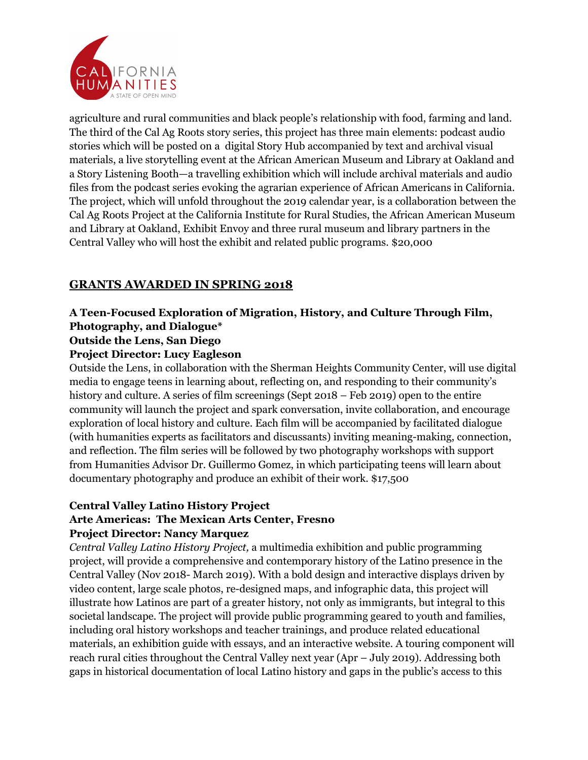

agriculture and rural communities and black people's relationship with food, farming and land. The third of the Cal Ag Roots story series, this project has three main elements: podcast audio stories which will be posted on a digital Story Hub accompanied by text and archival visual materials, a live storytelling event at the African American Museum and Library at Oakland and a Story Listening Booth—a travelling exhibition which will include archival materials and audio files from the podcast series evoking the agrarian experience of African Americans in California. The project, which will unfold throughout the 2019 calendar year, is a collaboration between the Cal Ag Roots Project at the California Institute for Rural Studies, the African American Museum and Library at Oakland, Exhibit Envoy and three rural museum and library partners in the Central Valley who will host the exhibit and related public programs. \$20,000

# **GRANTS AWARDED IN SPRING 2018**

# **A Teen-Focused Exploration of Migration, History, and Culture Through Film, Photography, and Dialogue\***

# **Outside the Lens, San Diego**

## **Project Director: Lucy Eagleson**

Outside the Lens, in collaboration with the Sherman Heights Community Center, will use digital media to engage teens in learning about, reflecting on, and responding to their community's history and culture. A series of film screenings (Sept 2018 – Feb 2019) open to the entire community will launch the project and spark conversation, invite collaboration, and encourage exploration of local history and culture. Each film will be accompanied by facilitated dialogue (with humanities experts as facilitators and discussants) inviting meaning-making, connection, and reflection. The film series will be followed by two photography workshops with support from Humanities Advisor Dr. Guillermo Gomez, in which participating teens will learn about documentary photography and produce an exhibit of their work. \$17,500

## **Central Valley Latino History Project Arte Americas: The Mexican Arts Center, Fresno Project Director: Nancy Marquez**

*Central Valley Latino History Project,* a multimedia exhibition and public programming project, will provide a comprehensive and contemporary history of the Latino presence in the Central Valley (Nov 2018- March 2019). With a bold design and interactive displays driven by video content, large scale photos, re-designed maps, and infographic data, this project will illustrate how Latinos are part of a greater history, not only as immigrants, but integral to this societal landscape. The project will provide public programming geared to youth and families, including oral history workshops and teacher trainings, and produce related educational materials, an exhibition guide with essays, and an interactive website. A touring component will reach rural cities throughout the Central Valley next year (Apr – July 2019). Addressing both gaps in historical documentation of local Latino history and gaps in the public's access to this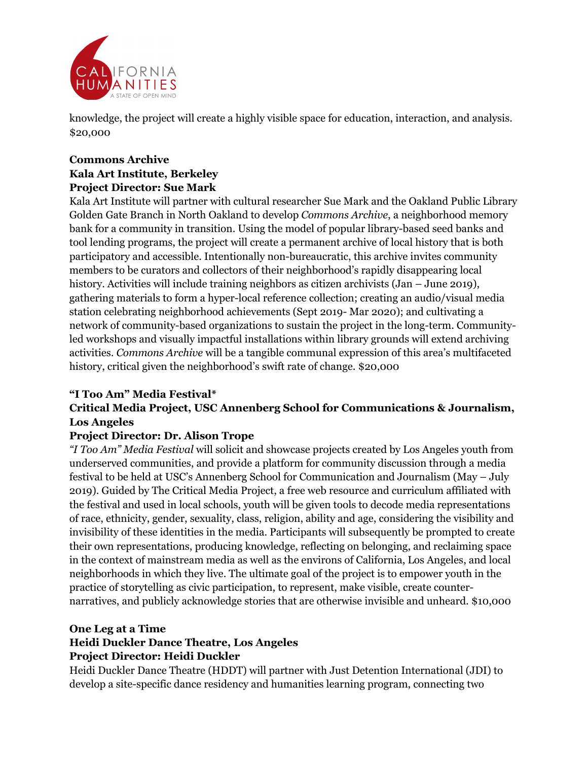

knowledge, the project will create a highly visible space for education, interaction, and analysis. \$20,000

# **Commons Archive Kala Art Institute, Berkeley Project Director: Sue Mark**

Kala Art Institute will partner with cultural researcher Sue Mark and the Oakland Public Library Golden Gate Branch in North Oakland to develop *Commons Archive*, a neighborhood memory bank for a community in transition. Using the model of popular library-based seed banks and tool lending programs, the project will create a permanent archive of local history that is both participatory and accessible. Intentionally non-bureaucratic, this archive invites community members to be curators and collectors of their neighborhood's rapidly disappearing local history. Activities will include training neighbors as citizen archivists (Jan – June 2019), gathering materials to form a hyper-local reference collection; creating an audio/visual media station celebrating neighborhood achievements (Sept 2019- Mar 2020); and cultivating a network of community-based organizations to sustain the project in the long-term. Communityled workshops and visually impactful installations within library grounds will extend archiving activities. *Commons Archive* will be a tangible communal expression of this area's multifaceted history, critical given the neighborhood's swift rate of change. \$20,000

# **"I Too Am" Media Festival\***

# **Critical Media Project, USC Annenberg School for Communications & Journalism, Los Angeles**

# **Project Director: Dr. Alison Trope**

*"I Too Am" Media Festival* will solicit and showcase projects created by Los Angeles youth from underserved communities, and provide a platform for community discussion through a media festival to be held at USC's Annenberg School for Communication and Journalism (May – July 2019). Guided by The Critical Media Project, a free web resource and curriculum affiliated with the festival and used in local schools, youth will be given tools to decode media representations of race, ethnicity, gender, sexuality, class, religion, ability and age, considering the visibility and invisibility of these identities in the media. Participants will subsequently be prompted to create their own representations, producing knowledge, reflecting on belonging, and reclaiming space in the context of mainstream media as well as the environs of California, Los Angeles, and local neighborhoods in which they live. The ultimate goal of the project is to empower youth in the practice of storytelling as civic participation, to represent, make visible, create counternarratives, and publicly acknowledge stories that are otherwise invisible and unheard. \$10,000

## **One Leg at a Time**

# **Heidi Duckler Dance Theatre, Los Angeles Project Director: Heidi Duckler**

Heidi Duckler Dance Theatre (HDDT) will partner with Just Detention International (JDI) to develop a site-specific dance residency and humanities learning program, connecting two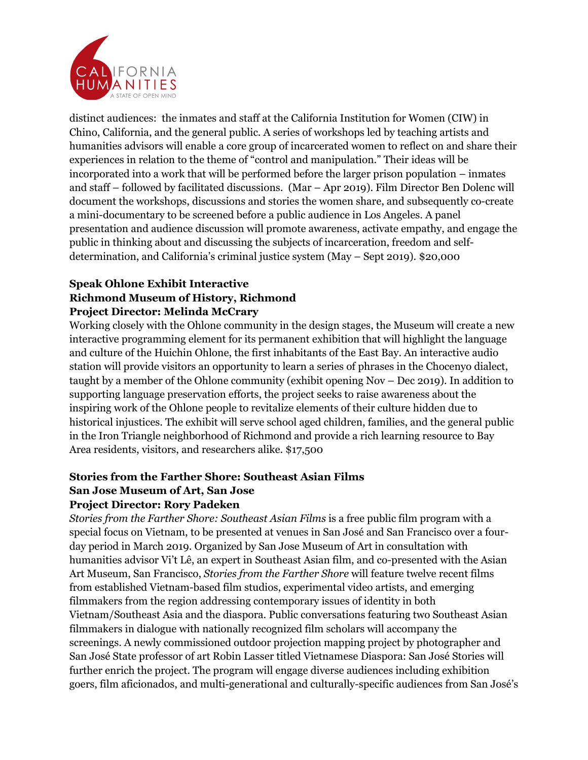

distinct audiences: the inmates and staff at the California Institution for Women (CIW) in Chino, California, and the general public. A series of workshops led by teaching artists and humanities advisors will enable a core group of incarcerated women to reflect on and share their experiences in relation to the theme of "control and manipulation." Their ideas will be incorporated into a work that will be performed before the larger prison population – inmates and staff – followed by facilitated discussions. (Mar – Apr 2019). Film Director Ben Dolenc will document the workshops, discussions and stories the women share, and subsequently co-create a mini-documentary to be screened before a public audience in Los Angeles. A panel presentation and audience discussion will promote awareness, activate empathy, and engage the public in thinking about and discussing the subjects of incarceration, freedom and selfdetermination, and California's criminal justice system (May – Sept 2019). \$20,000

## **Speak Ohlone Exhibit Interactive Richmond Museum of History, Richmond Project Director: Melinda McCrary**

Working closely with the Ohlone community in the design stages, the Museum will create a new interactive programming element for its permanent exhibition that will highlight the language and culture of the Huichin Ohlone, the first inhabitants of the East Bay. An interactive audio station will provide visitors an opportunity to learn a series of phrases in the Chocenyo dialect, taught by a member of the Ohlone community (exhibit opening Nov – Dec 2019). In addition to supporting language preservation efforts, the project seeks to raise awareness about the inspiring work of the Ohlone people to revitalize elements of their culture hidden due to historical injustices. The exhibit will serve school aged children, families, and the general public in the Iron Triangle neighborhood of Richmond and provide a rich learning resource to Bay Area residents, visitors, and researchers alike. \$17,500

# **Stories from the Farther Shore: Southeast Asian Films San Jose Museum of Art, San Jose**

## **Project Director: Rory Padeken**

*Stories from the Farther Shore: Southeast Asian Films* is a free public film program with a special focus on Vietnam, to be presented at venues in San José and San Francisco over a fourday period in March 2019. Organized by San Jose Museum of Art in consultation with humanities advisor Vi't Lê, an expert in Southeast Asian film, and co-presented with the Asian Art Museum, San Francisco, *Stories from the Farther Shore* will feature twelve recent films from established Vietnam-based film studios, experimental video artists, and emerging filmmakers from the region addressing contemporary issues of identity in both Vietnam/Southeast Asia and the diaspora. Public conversations featuring two Southeast Asian filmmakers in dialogue with nationally recognized film scholars will accompany the screenings. A newly commissioned outdoor projection mapping project by photographer and San José State professor of art Robin Lasser titled Vietnamese Diaspora: San José Stories will further enrich the project. The program will engage diverse audiences including exhibition goers, film aficionados, and multi-generational and culturally-specific audiences from San José's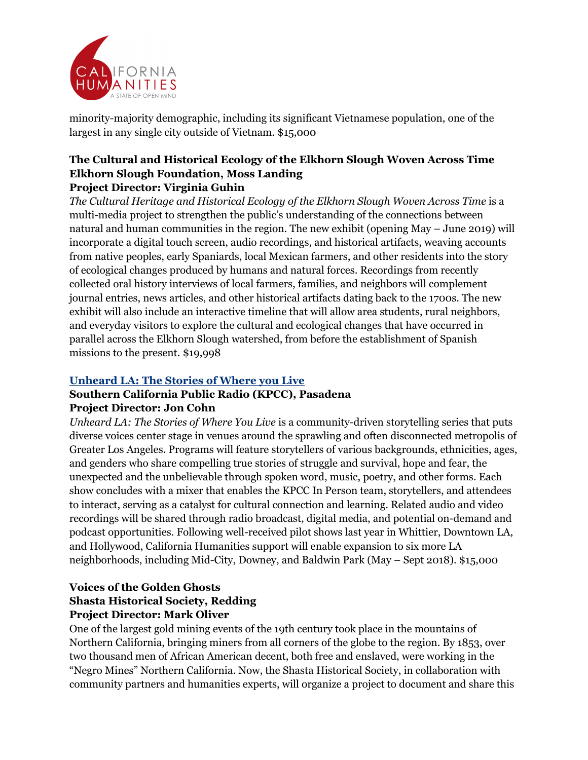

minority-majority demographic, including its significant Vietnamese population, one of the largest in any single city outside of Vietnam. \$15,000

# **The Cultural and Historical Ecology of the Elkhorn Slough Woven Across Time Elkhorn Slough Foundation, Moss Landing**

# **Project Director: Virginia Guhin**

*The Cultural Heritage and Historical Ecology of the Elkhorn Slough Woven Across Time* is a multi-media project to strengthen the public's understanding of the connections between natural and human communities in the region. The new exhibit (opening May – June 2019) will incorporate a digital touch screen, audio recordings, and historical artifacts, weaving accounts from native peoples, early Spaniards, local Mexican farmers, and other residents into the story of ecological changes produced by humans and natural forces. Recordings from recently collected oral history interviews of local farmers, families, and neighbors will complement journal entries, news articles, and other historical artifacts dating back to the 1700s. The new exhibit will also include an interactive timeline that will allow area students, rural neighbors, and everyday visitors to explore the cultural and ecological changes that have occurred in parallel across the Elkhorn Slough watershed, from before the establishment of Spanish missions to the present. \$19,998

## **Unheard LA: The Stories of Where you Live**

#### **Southern California Public Radio (KPCC), Pasadena Project Director: Jon Cohn**

*Unheard LA: The Stories of Where You Live* is a community-driven storytelling series that puts diverse voices center stage in venues around the sprawling and often disconnected metropolis of Greater Los Angeles. Programs will feature storytellers of various backgrounds, ethnicities, ages, and genders who share compelling true stories of struggle and survival, hope and fear, the unexpected and the unbelievable through spoken word, music, poetry, and other forms. Each show concludes with a mixer that enables the KPCC In Person team, storytellers, and attendees to interact, serving as a catalyst for cultural connection and learning. Related audio and video recordings will be shared through radio broadcast, digital media, and potential on-demand and podcast opportunities. Following well-received pilot shows last year in Whittier, Downtown LA, and Hollywood, California Humanities support will enable expansion to six more LA neighborhoods, including Mid-City, Downey, and Baldwin Park (May – Sept 2018). \$15,000

## **Voices of the Golden Ghosts Shasta Historical Society, Redding Project Director: Mark Oliver**

One of the largest gold mining events of the 19th century took place in the mountains of Northern California, bringing miners from all corners of the globe to the region. By 1853, over two thousand men of African American decent, both free and enslaved, were working in the "Negro Mines" Northern California. Now, the Shasta Historical Society, in collaboration with community partners and humanities experts, will organize a project to document and share this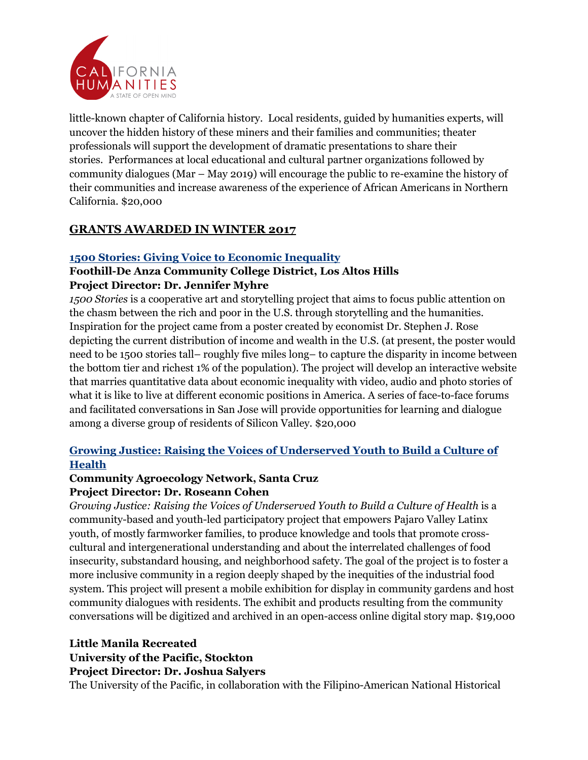

little-known chapter of California history. Local residents, guided by humanities experts, will uncover the hidden history of these miners and their families and communities; theater professionals will support the development of dramatic presentations to share their stories. Performances at local educational and cultural partner organizations followed by community dialogues (Mar – May 2019) will encourage the public to re-examine the history of their communities and increase awareness of the experience of African Americans in Northern California. \$20,000

# **GRANTS AWARDED IN WINTER 2017**

## **1500 Stories: Giving Voice to Economic Inequality**

# **Foothill-De Anza Community College District, Los Altos Hills Project Director: Dr. Jennifer Myhre**

*1500 Stories* is a cooperative art and storytelling project that aims to focus public attention on the chasm between the rich and poor in the U.S. through storytelling and the humanities. Inspiration for the project came from a poster created by economist Dr. Stephen J. Rose depicting the current distribution of income and wealth in the U.S. (at present, the poster would need to be 1500 stories tall– roughly five miles long– to capture the disparity in income between the bottom tier and richest 1% of the population). The project will develop an interactive website that marries quantitative data about economic inequality with video, audio and photo stories of what it is like to live at different economic positions in America. A series of face-to-face forums and facilitated conversations in San Jose will provide opportunities for learning and dialogue among a diverse group of residents of Silicon Valley. \$20,000

# **Growing Justice: Raising the Voices of Underserved Youth to Build a Culture of Health**

#### **Community Agroecology Network, Santa Cruz Project Director: Dr. Roseann Cohen**

*Growing Justice: Raising the Voices of Underserved Youth to Build a Culture of Health* is a community-based and youth-led participatory project that empowers Pajaro Valley Latinx youth, of mostly farmworker families, to produce knowledge and tools that promote crosscultural and intergenerational understanding and about the interrelated challenges of food insecurity, substandard housing, and neighborhood safety. The goal of the project is to foster a more inclusive community in a region deeply shaped by the inequities of the industrial food system. This project will present a mobile exhibition for display in community gardens and host community dialogues with residents. The exhibit and products resulting from the community conversations will be digitized and archived in an open-access online digital story map. \$19,000

# **Little Manila Recreated**

## **University of the Pacific, Stockton**

## **Project Director: Dr. Joshua Salyers**

The University of the Pacific, in collaboration with the Filipino-American National Historical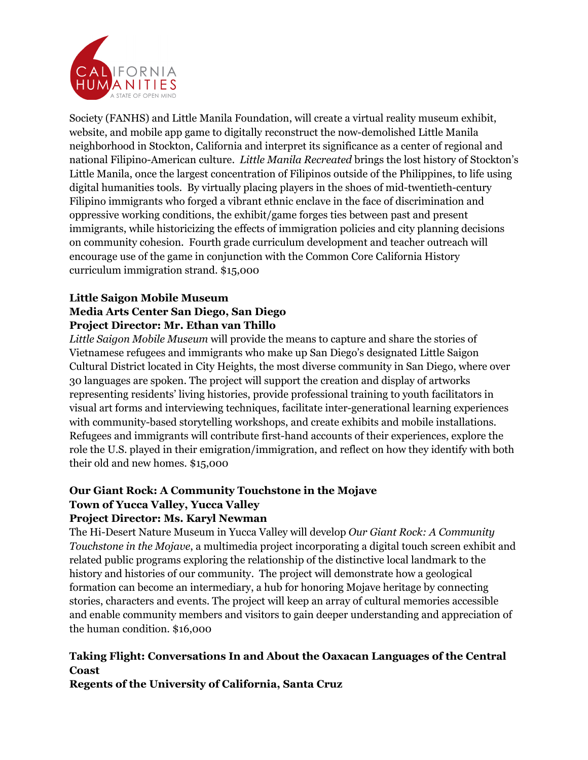

Society (FANHS) and Little Manila Foundation, will create a virtual reality museum exhibit, website, and mobile app game to digitally reconstruct the now-demolished Little Manila neighborhood in Stockton, California and interpret its significance as a center of regional and national Filipino-American culture. *Little Manila Recreated* brings the lost history of Stockton's Little Manila, once the largest concentration of Filipinos outside of the Philippines, to life using digital humanities tools. By virtually placing players in the shoes of mid-twentieth-century Filipino immigrants who forged a vibrant ethnic enclave in the face of discrimination and oppressive working conditions, the exhibit/game forges ties between past and present immigrants, while historicizing the effects of immigration policies and city planning decisions on community cohesion. Fourth grade curriculum development and teacher outreach will encourage use of the game in conjunction with the Common Core California History curriculum immigration strand. \$15,000

# **Little Saigon Mobile Museum Media Arts Center San Diego, San Diego Project Director: Mr. Ethan van Thillo**

*Little Saigon Mobile Museum* will provide the means to capture and share the stories of Vietnamese refugees and immigrants who make up San Diego's designated Little Saigon Cultural District located in City Heights, the most diverse community in San Diego, where over 30 languages are spoken. The project will support the creation and display of artworks representing residents' living histories, provide professional training to youth facilitators in visual art forms and interviewing techniques, facilitate inter-generational learning experiences with community-based storytelling workshops, and create exhibits and mobile installations. Refugees and immigrants will contribute first-hand accounts of their experiences, explore the role the U.S. played in their emigration/immigration, and reflect on how they identify with both their old and new homes. \$15,000

# **Our Giant Rock: A Community Touchstone in the Mojave Town of Yucca Valley, Yucca Valley**

# **Project Director: Ms. Karyl Newman**

The Hi-Desert Nature Museum in Yucca Valley will develop *Our Giant Rock: A Community Touchstone in the Mojave*, a multimedia project incorporating a digital touch screen exhibit and related public programs exploring the relationship of the distinctive local landmark to the history and histories of our community. The project will demonstrate how a geological formation can become an intermediary, a hub for honoring Mojave heritage by connecting stories, characters and events. The project will keep an array of cultural memories accessible and enable community members and visitors to gain deeper understanding and appreciation of the human condition. \$16,000

# **Taking Flight: Conversations In and About the Oaxacan Languages of the Central Coast**

**Regents of the University of California, Santa Cruz**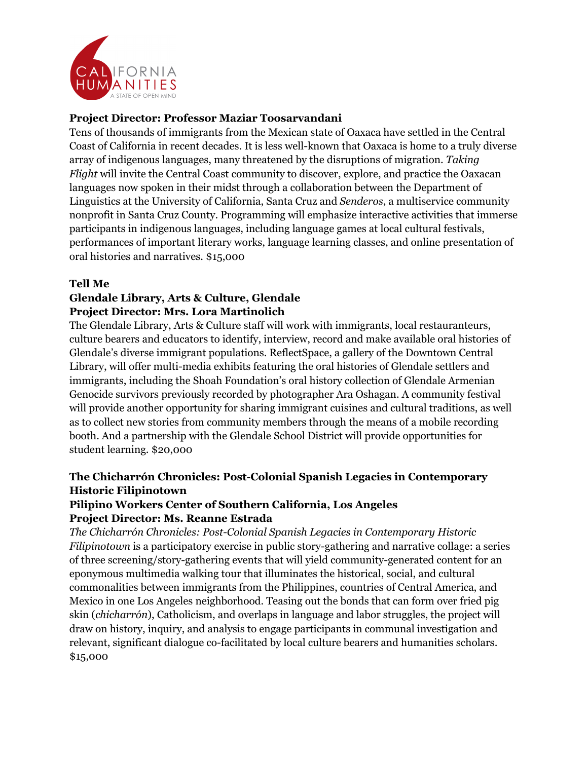

## **Project Director: Professor Maziar Toosarvandani**

Tens of thousands of immigrants from the Mexican state of Oaxaca have settled in the Central Coast of California in recent decades. It is less well-known that Oaxaca is home to a truly diverse array of indigenous languages, many threatened by the disruptions of migration. *Taking Flight* will invite the Central Coast community to discover, explore, and practice the Oaxacan languages now spoken in their midst through a collaboration between the Department of Linguistics at the University of California, Santa Cruz and *Senderos*, a multiservice community nonprofit in Santa Cruz County. Programming will emphasize interactive activities that immerse participants in indigenous languages, including language games at local cultural festivals, performances of important literary works, language learning classes, and online presentation of oral histories and narratives. \$15,000

## **Tell Me**

## **Glendale Library, Arts & Culture, Glendale Project Director: Mrs. Lora Martinolich**

The Glendale Library, Arts & Culture staff will work with immigrants, local restauranteurs, culture bearers and educators to identify, interview, record and make available oral histories of Glendale's diverse immigrant populations. ReflectSpace, a gallery of the Downtown Central Library, will offer multi-media exhibits featuring the oral histories of Glendale settlers and immigrants, including the Shoah Foundation's oral history collection of Glendale Armenian Genocide survivors previously recorded by photographer Ara Oshagan. A community festival will provide another opportunity for sharing immigrant cuisines and cultural traditions, as well as to collect new stories from community members through the means of a mobile recording booth. And a partnership with the Glendale School District will provide opportunities for student learning. \$20,000

# **The Chicharrón Chronicles: Post-Colonial Spanish Legacies in Contemporary Historic Filipinotown**

#### **Pilipino Workers Center of Southern California, Los Angeles Project Director: Ms. Reanne Estrada**

*The Chicharrón Chronicles: Post-Colonial Spanish Legacies in Contemporary Historic Filipinotown* is a participatory exercise in public story-gathering and narrative collage: a series of three screening/story-gathering events that will yield community-generated content for an eponymous multimedia walking tour that illuminates the historical, social, and cultural commonalities between immigrants from the Philippines, countries of Central America, and Mexico in one Los Angeles neighborhood. Teasing out the bonds that can form over fried pig skin (*chicharrón*), Catholicism, and overlaps in language and labor struggles, the project will draw on history, inquiry, and analysis to engage participants in communal investigation and relevant, significant dialogue co-facilitated by local culture bearers and humanities scholars. \$15,000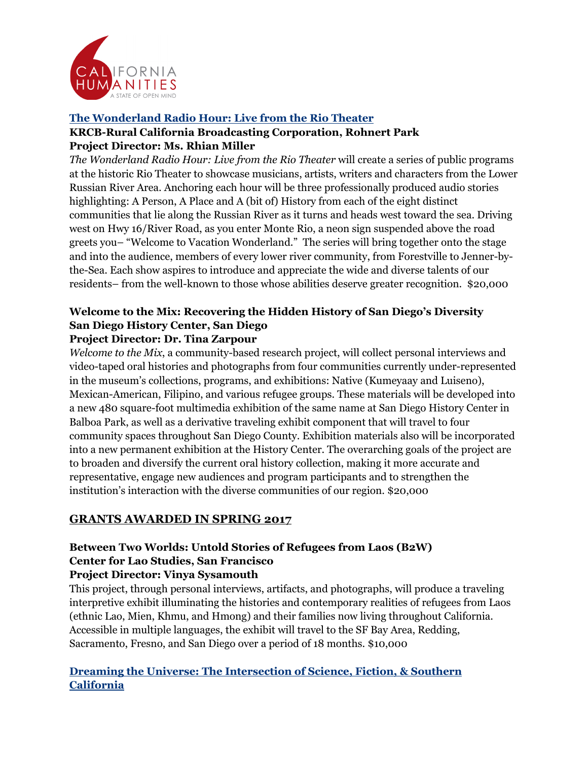

# **The Wonderland Radio Hour: Live from the Rio Theater KRCB-Rural California Broadcasting Corporation, Rohnert Park Project Director: Ms. Rhian Miller**

*The Wonderland Radio Hour: Live from the Rio Theater* will create a series of public programs at the historic Rio Theater to showcase musicians, artists, writers and characters from the Lower Russian River Area. Anchoring each hour will be three professionally produced audio stories highlighting: A Person, A Place and A (bit of) History from each of the eight distinct communities that lie along the Russian River as it turns and heads west toward the sea. Driving west on Hwy 16/River Road, as you enter Monte Rio, a neon sign suspended above the road greets you– "Welcome to Vacation Wonderland." The series will bring together onto the stage and into the audience, members of every lower river community, from Forestville to Jenner-bythe-Sea. Each show aspires to introduce and appreciate the wide and diverse talents of our residents– from the well-known to those whose abilities deserve greater recognition. \$20,000

#### **Welcome to the Mix: Recovering the Hidden History of San Diego's Diversity San Diego History Center, San Diego Project Director: Dr. Tina Zarpour**

*Welcome to the Mix*, a community-based research project, will collect personal interviews and video-taped oral histories and photographs from four communities currently under-represented in the museum's collections, programs, and exhibitions: Native (Kumeyaay and Luiseno), Mexican-American, Filipino, and various refugee groups. These materials will be developed into a new 480 square-foot multimedia exhibition of the same name at San Diego History Center in Balboa Park, as well as a derivative traveling exhibit component that will travel to four community spaces throughout San Diego County. Exhibition materials also will be incorporated into a new permanent exhibition at the History Center. The overarching goals of the project are to broaden and diversify the current oral history collection, making it more accurate and representative, engage new audiences and program participants and to strengthen the institution's interaction with the diverse communities of our region. \$20,000

# **GRANTS AWARDED IN SPRING 2017**

# **Between Two Worlds: Untold Stories of Refugees from Laos (B2W) Center for Lao Studies, San Francisco Project Director: Vinya Sysamouth**

This project, through personal interviews, artifacts, and photographs, will produce a traveling interpretive exhibit illuminating the histories and contemporary realities of refugees from Laos (ethnic Lao, Mien, Khmu, and Hmong) and their families now living throughout California. Accessible in multiple languages, the exhibit will travel to the SF Bay Area, Redding, Sacramento, Fresno, and San Diego over a period of 18 months. \$10,000

# **Dreaming the Universe: The Intersection of Science, Fiction, & Southern California**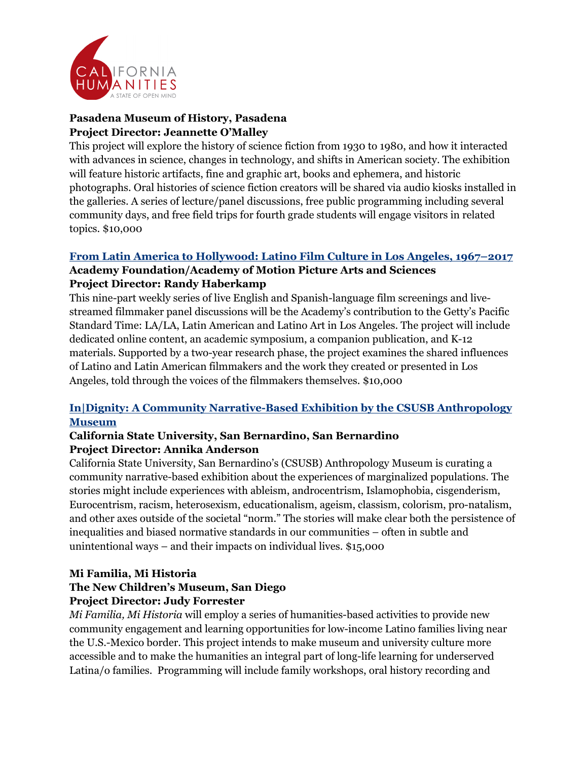

# **Pasadena Museum of History, Pasadena Project Director: Jeannette O'Malley**

This project will explore the history of science fiction from 1930 to 1980, and how it interacted with advances in science, changes in technology, and shifts in American society. The exhibition will feature historic artifacts, fine and graphic art, books and ephemera, and historic photographs. Oral histories of science fiction creators will be shared via audio kiosks installed in the galleries. A series of lecture/panel discussions, free public programming including several community days, and free field trips for fourth grade students will engage visitors in related topics. \$10,000

# **From Latin America to Hollywood: Latino Film Culture in Los Angeles, 1967–2017**

#### **Academy Foundation/Academy of Motion Picture Arts and Sciences Project Director: Randy Haberkamp**

This nine-part weekly series of live English and Spanish-language film screenings and livestreamed filmmaker panel discussions will be the Academy's contribution to the Getty's Pacific Standard Time: LA/LA, Latin American and Latino Art in Los Angeles. The project will include dedicated online content, an academic symposium, a companion publication, and K-12 materials. Supported by a two-year research phase, the project examines the shared influences of Latino and Latin American filmmakers and the work they created or presented in Los Angeles, told through the voices of the filmmakers themselves. \$10,000

# **In|Dignity: A Community Narrative-Based Exhibition by the CSUSB Anthropology Museum**

# **California State University, San Bernardino, San Bernardino Project Director: Annika Anderson**

California State University, San Bernardino's (CSUSB) Anthropology Museum is curating a community narrative-based exhibition about the experiences of marginalized populations. The stories might include experiences with ableism, androcentrism, Islamophobia, cisgenderism, Eurocentrism, racism, heterosexism, educationalism, ageism, classism, colorism, pro-natalism, and other axes outside of the societal "norm." The stories will make clear both the persistence of inequalities and biased normative standards in our communities – often in subtle and unintentional ways – and their impacts on individual lives. \$15,000

# **Mi Familia, Mi Historia**

## **The New Children's Museum, San Diego Project Director: Judy Forrester**

*Mi Familia, Mi Historia* will employ a series of humanities-based activities to provide new community engagement and learning opportunities for low-income Latino families living near the U.S.-Mexico border. This project intends to make museum and university culture more accessible and to make the humanities an integral part of long-life learning for underserved Latina/o families. Programming will include family workshops, oral history recording and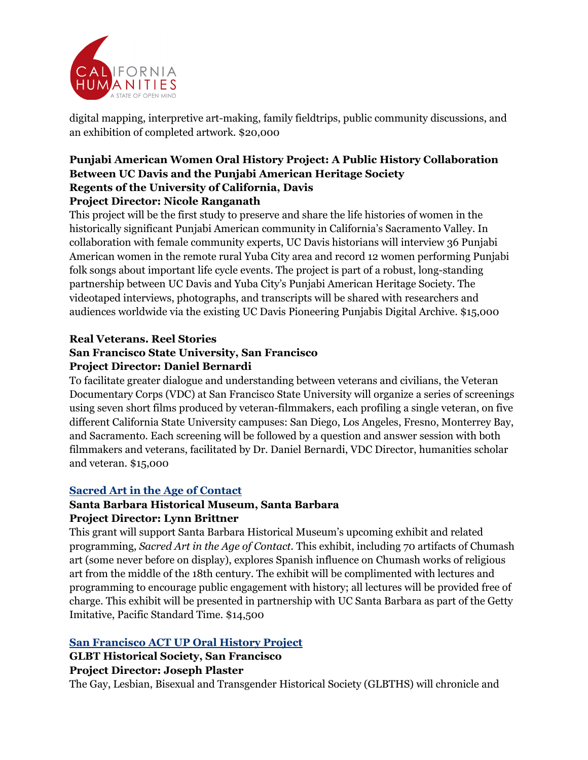

digital mapping, interpretive art-making, family fieldtrips, public community discussions, and an exhibition of completed artwork. \$20,000

## **Punjabi American Women Oral History Project: A Public History Collaboration Between UC Davis and the Punjabi American Heritage Society Regents of the University of California, Davis Project Director: Nicole Ranganath**

This project will be the first study to preserve and share the life histories of women in the historically significant Punjabi American community in California's Sacramento Valley. In collaboration with female community experts, UC Davis historians will interview 36 Punjabi American women in the remote rural Yuba City area and record 12 women performing Punjabi folk songs about important life cycle events. The project is part of a robust, long-standing partnership between UC Davis and Yuba City's Punjabi American Heritage Society. The videotaped interviews, photographs, and transcripts will be shared with researchers and audiences worldwide via the existing UC Davis Pioneering Punjabis Digital Archive. \$15,000

#### **Real Veterans. Reel Stories**

#### **San Francisco State University, San Francisco Project Director: Daniel Bernardi**

To facilitate greater dialogue and understanding between veterans and civilians, the Veteran Documentary Corps (VDC) at San Francisco State University will organize a series of screenings using seven short films produced by veteran-filmmakers, each profiling a single veteran, on five different California State University campuses: San Diego, Los Angeles, Fresno, Monterrey Bay, and Sacramento. Each screening will be followed by a question and answer session with both filmmakers and veterans, facilitated by Dr. Daniel Bernardi, VDC Director, humanities scholar and veteran. \$15,000

## **Sacred Art in the Age of Contact**

# **Santa Barbara Historical Museum, Santa Barbara Project Director: Lynn Brittner**

This grant will support Santa Barbara Historical Museum's upcoming exhibit and related programming, *Sacred Art in the Age of Contact.* This exhibit, including 70 artifacts of Chumash art (some never before on display), explores Spanish influence on Chumash works of religious art from the middle of the 18th century. The exhibit will be complimented with lectures and programming to encourage public engagement with history; all lectures will be provided free of charge. This exhibit will be presented in partnership with UC Santa Barbara as part of the Getty Imitative, Pacific Standard Time. \$14,500

# **San Francisco ACT UP Oral History Project**

# **GLBT Historical Society, San Francisco**

## **Project Director: Joseph Plaster**

The Gay, Lesbian, Bisexual and Transgender Historical Society (GLBTHS) will chronicle and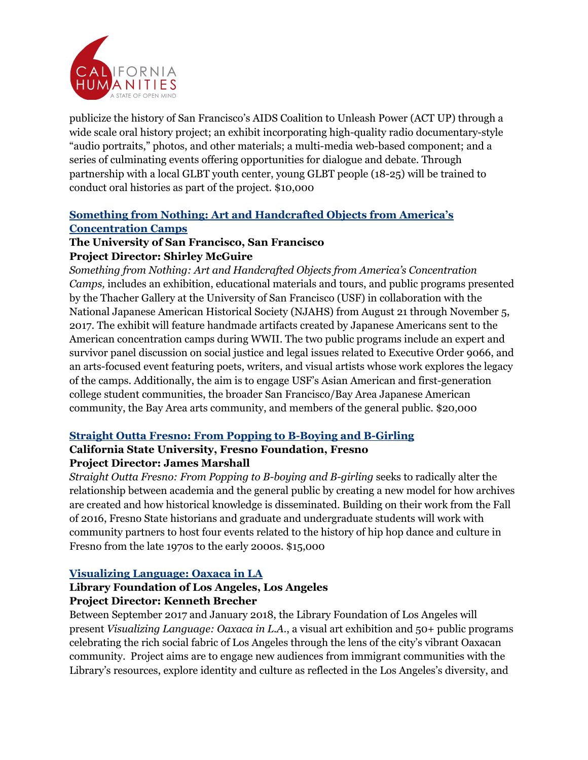

publicize the history of San Francisco's AIDS Coalition to Unleash Power (ACT UP) through a wide scale oral history project; an exhibit incorporating high-quality radio documentary-style "audio portraits," photos, and other materials; a multi-media web-based component; and a series of culminating events offering opportunities for dialogue and debate. Through partnership with a local GLBT youth center, young GLBT people (18-25) will be trained to conduct oral histories as part of the project. \$10,000

# **Something from Nothing: Art and Handcrafted Objects from America's Concentration Camps**

## **The University of San Francisco, San Francisco Project Director: Shirley McGuire**

*Something from Nothing: Art and Handcrafted Objects from America's Concentration Camps,* includes an exhibition, educational materials and tours, and public programs presented by the Thacher Gallery at the University of San Francisco (USF) in collaboration with the National Japanese American Historical Society (NJAHS) from August 21 through November 5, 2017. The exhibit will feature handmade artifacts created by Japanese Americans sent to the American concentration camps during WWII. The two public programs include an expert and survivor panel discussion on social justice and legal issues related to Executive Order 9066, and an arts-focused event featuring poets, writers, and visual artists whose work explores the legacy of the camps. Additionally, the aim is to engage USF's Asian American and first-generation college student communities, the broader San Francisco/Bay Area Japanese American community, the Bay Area arts community, and members of the general public. \$20,000

## **Straight Outta Fresno: From Popping to B-Boying and B-Girling**

# **California State University, Fresno Foundation, Fresno Project Director: James Marshall**

*Straight Outta Fresno: From Popping to B-boying and B-girling* seeks to radically alter the relationship between academia and the general public by creating a new model for how archives are created and how historical knowledge is disseminated. Building on their work from the Fall of 2016, Fresno State historians and graduate and undergraduate students will work with community partners to host four events related to the history of hip hop dance and culture in Fresno from the late 1970s to the early 2000s. \$15,000

## **Visualizing Language: Oaxaca in LA**

# **Library Foundation of Los Angeles, Los Angeles Project Director: Kenneth Brecher**

Between September 2017 and January 2018, the Library Foundation of Los Angeles will present *Visualizing Language: Oaxaca in L.A.*, a visual art exhibition and 50+ public programs celebrating the rich social fabric of Los Angeles through the lens of the city's vibrant Oaxacan community. Project aims are to engage new audiences from immigrant communities with the Library's resources, explore identity and culture as reflected in the Los Angeles's diversity, and